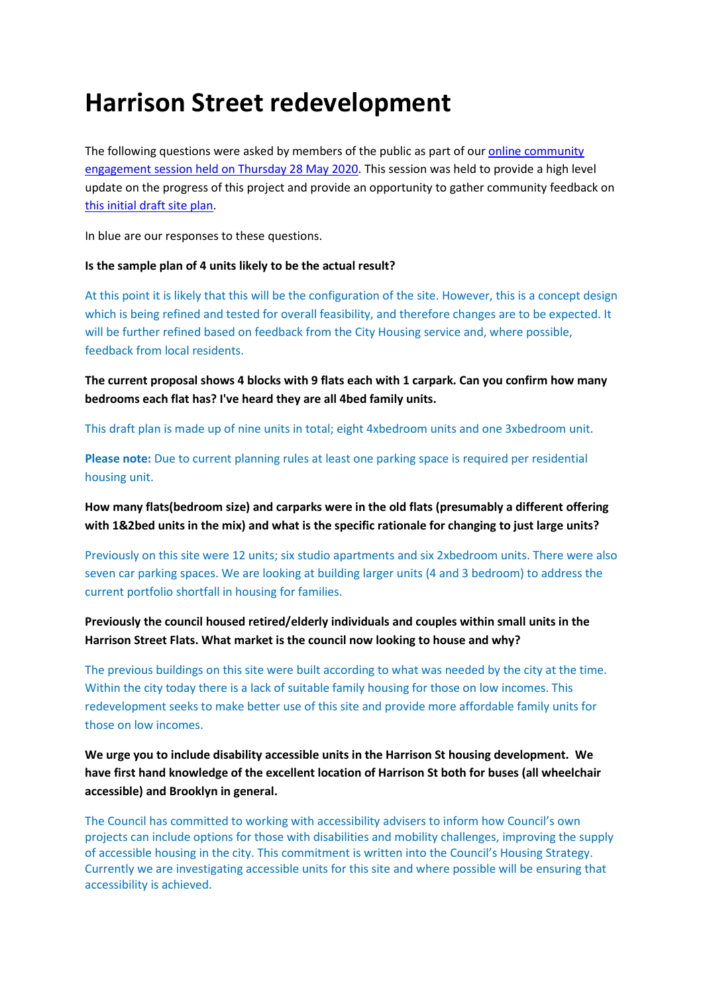# **Harrison Street redevelopment**

The following questions were asked by members of the public as part of ou[r online community](https://wellington.govt.nz/%7E/media/your-council/projects/files/harrison-street-flats/harrison-street-online-community-engagement-session.pdf?la=en)  [engagement session held on Thursday 28 May 2020.](https://wellington.govt.nz/%7E/media/your-council/projects/files/harrison-street-flats/harrison-street-online-community-engagement-session.pdf?la=en) This session was held to provide a high level update on the progress of this project and provide an opportunity to gather community feedback on this initial [draft site plan.](https://wellington.govt.nz/%7E/media/your-council/projects/files/harrison-street-flats/harrison-street-concept-design.pdf?la=en)

In blue are our responses to these questions.

## **Is the sample plan of 4 units likely to be the actual result?**

At this point it is likely that this will be the configuration of the site. However, this is a concept design which is being refined and tested for overall feasibility, and therefore changes are to be expected. It will be further refined based on feedback from the City Housing service and, where possible, feedback from local residents.

**The current proposal shows 4 blocks with 9 flats each with 1 carpark. Can you confirm how many bedrooms each flat has? I've heard they are all 4bed family units.**

This draft plan is made up of nine units in total; eight 4xbedroom units and one 3xbedroom unit.

**Please note:** Due to current planning rules at least one parking space is required per residential housing unit.

**How many flats(bedroom size) and carparks were in the old flats (presumably a different offering with 1&2bed units in the mix) and what is the specific rationale for changing to just large units?**

Previously on this site were 12 units; six studio apartments and six 2xbedroom units. There were also seven car parking spaces. We are looking at building larger units (4 and 3 bedroom) to address the current portfolio shortfall in housing for families.

**Previously the council housed retired/elderly individuals and couples within small units in the Harrison Street Flats. What market is the council now looking to house and why?**

The previous buildings on this site were built according to what was needed by the city at the time. Within the city today there is a lack of suitable family housing for those on low incomes. This redevelopment seeks to make better use of this site and provide more affordable family units for those on low incomes.

**We urge you to include disability accessible units in the Harrison St housing development. We have first hand knowledge of the excellent location of Harrison St both for buses (all wheelchair accessible) and Brooklyn in general.**

The Council has committed to working with accessibility advisers to inform how Council's own projects can include options for those with disabilities and mobility challenges, improving the supply of accessible housing in the city. This commitment is written into the Council's Housing Strategy. Currently we are investigating accessible units for this site and where possible will be ensuring that accessibility is achieved.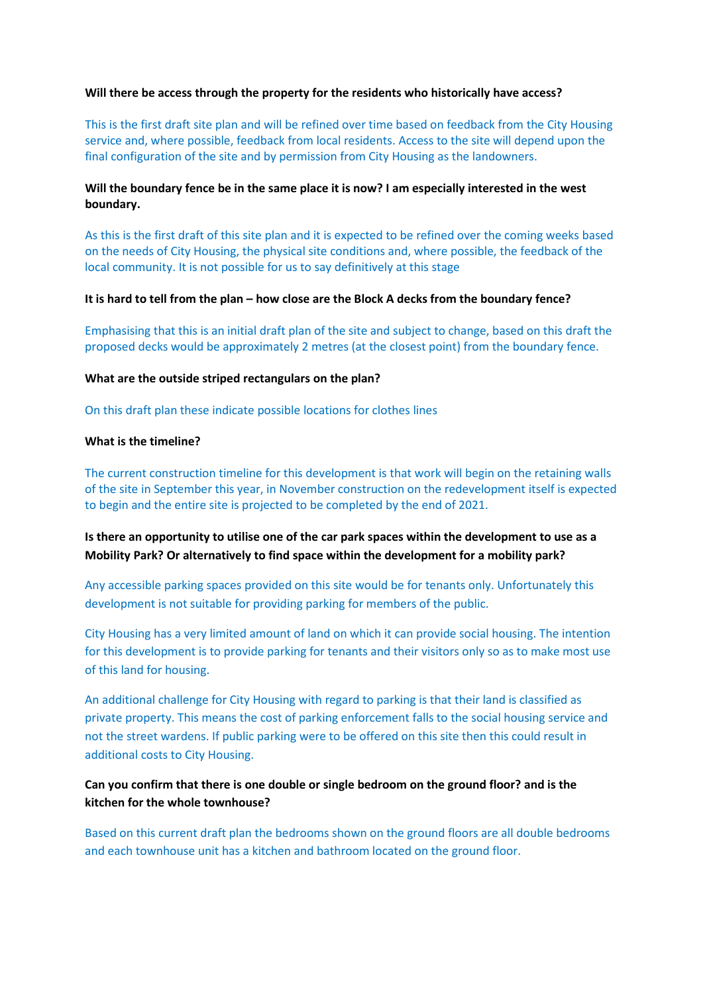### **Will there be access through the property for the residents who historically have access?**

This is the first draft site plan and will be refined over time based on feedback from the City Housing service and, where possible, feedback from local residents. Access to the site will depend upon the final configuration of the site and by permission from City Housing as the landowners.

## **Will the boundary fence be in the same place it is now? I am especially interested in the west boundary.**

As this is the first draft of this site plan and it is expected to be refined over the coming weeks based on the needs of City Housing, the physical site conditions and, where possible, the feedback of the local community. It is not possible for us to say definitively at this stage

#### **It is hard to tell from the plan – how close are the Block A decks from the boundary fence?**

Emphasising that this is an initial draft plan of the site and subject to change, based on this draft the proposed decks would be approximately 2 metres (at the closest point) from the boundary fence.

#### **What are the outside striped rectangulars on the plan?**

On this draft plan these indicate possible locations for clothes lines

#### **What is the timeline?**

The current construction timeline for this development is that work will begin on the retaining walls of the site in September this year, in November construction on the redevelopment itself is expected to begin and the entire site is projected to be completed by the end of 2021.

## **Is there an opportunity to utilise one of the car park spaces within the development to use as a Mobility Park? Or alternatively to find space within the development for a mobility park?**

Any accessible parking spaces provided on this site would be for tenants only. Unfortunately this development is not suitable for providing parking for members of the public.

City Housing has a very limited amount of land on which it can provide social housing. The intention for this development is to provide parking for tenants and their visitors only so as to make most use of this land for housing.

An additional challenge for City Housing with regard to parking is that their land is classified as private property. This means the cost of parking enforcement falls to the social housing service and not the street wardens. If public parking were to be offered on this site then this could result in additional costs to City Housing.

# **Can you confirm that there is one double or single bedroom on the ground floor? and is the kitchen for the whole townhouse?**

Based on this current draft plan the bedrooms shown on the ground floors are all double bedrooms and each townhouse unit has a kitchen and bathroom located on the ground floor.